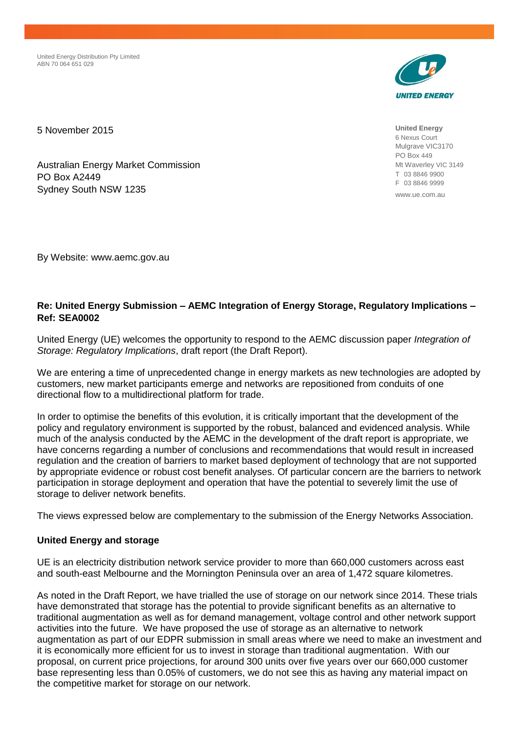United Energy Distribution Pty Limited ABN 70 064 651 029



**United Energy** 6 Nexus Court Mulgrave VIC3170 PO Box 449 Mt Waverley VIC 3149 T 03 8846 9900 F 03 8846 9999

www.ue.com.au

5 November 2015

Australian Energy Market Commission PO Box A2449 Sydney South NSW 1235

By Website: www.aemc.gov.au

# **Re: United Energy Submission – AEMC Integration of Energy Storage, Regulatory Implications – Ref: SEA0002**

United Energy (UE) welcomes the opportunity to respond to the AEMC discussion paper *Integration of Storage: Regulatory Implications*, draft report (the Draft Report).

We are entering a time of unprecedented change in energy markets as new technologies are adopted by customers, new market participants emerge and networks are repositioned from conduits of one directional flow to a multidirectional platform for trade.

In order to optimise the benefits of this evolution, it is critically important that the development of the policy and regulatory environment is supported by the robust, balanced and evidenced analysis. While much of the analysis conducted by the AEMC in the development of the draft report is appropriate, we have concerns regarding a number of conclusions and recommendations that would result in increased regulation and the creation of barriers to market based deployment of technology that are not supported by appropriate evidence or robust cost benefit analyses. Of particular concern are the barriers to network participation in storage deployment and operation that have the potential to severely limit the use of storage to deliver network benefits.

The views expressed below are complementary to the submission of the Energy Networks Association.

# **United Energy and storage**

UE is an electricity distribution network service provider to more than 660,000 customers across east and south-east Melbourne and the Mornington Peninsula over an area of 1,472 square kilometres.

As noted in the Draft Report, we have trialled the use of storage on our network since 2014. These trials have demonstrated that storage has the potential to provide significant benefits as an alternative to traditional augmentation as well as for demand management, voltage control and other network support activities into the future. We have proposed the use of storage as an alternative to network augmentation as part of our EDPR submission in small areas where we need to make an investment and it is economically more efficient for us to invest in storage than traditional augmentation. With our proposal, on current price projections, for around 300 units over five years over our 660,000 customer base representing less than 0.05% of customers, we do not see this as having any material impact on the competitive market for storage on our network.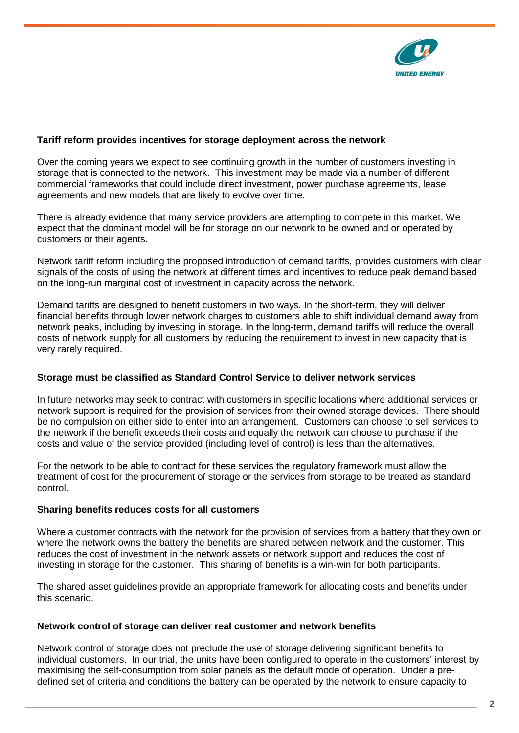

## **Tariff reform provides incentives for storage deployment across the network**

Over the coming years we expect to see continuing growth in the number of customers investing in storage that is connected to the network. This investment may be made via a number of different commercial frameworks that could include direct investment, power purchase agreements, lease agreements and new models that are likely to evolve over time.

There is already evidence that many service providers are attempting to compete in this market. We expect that the dominant model will be for storage on our network to be owned and or operated by customers or their agents.

Network tariff reform including the proposed introduction of demand tariffs, provides customers with clear signals of the costs of using the network at different times and incentives to reduce peak demand based on the long-run marginal cost of investment in capacity across the network.

Demand tariffs are designed to benefit customers in two ways. In the short-term, they will deliver financial benefits through lower network charges to customers able to shift individual demand away from network peaks, including by investing in storage. In the long-term, demand tariffs will reduce the overall costs of network supply for all customers by reducing the requirement to invest in new capacity that is very rarely required.

## **Storage must be classified as Standard Control Service to deliver network services**

In future networks may seek to contract with customers in specific locations where additional services or network support is required for the provision of services from their owned storage devices. There should be no compulsion on either side to enter into an arrangement. Customers can choose to sell services to the network if the benefit exceeds their costs and equally the network can choose to purchase if the costs and value of the service provided (including level of control) is less than the alternatives.

For the network to be able to contract for these services the regulatory framework must allow the treatment of cost for the procurement of storage or the services from storage to be treated as standard control.

## **Sharing benefits reduces costs for all customers**

Where a customer contracts with the network for the provision of services from a battery that they own or where the network owns the battery the benefits are shared between network and the customer. This reduces the cost of investment in the network assets or network support and reduces the cost of investing in storage for the customer. This sharing of benefits is a win-win for both participants.

The shared asset guidelines provide an appropriate framework for allocating costs and benefits under this scenario.

#### **Network control of storage can deliver real customer and network benefits**

Network control of storage does not preclude the use of storage delivering significant benefits to individual customers. In our trial, the units have been configured to operate in the customers' interest by maximising the self-consumption from solar panels as the default mode of operation. Under a predefined set of criteria and conditions the battery can be operated by the network to ensure capacity to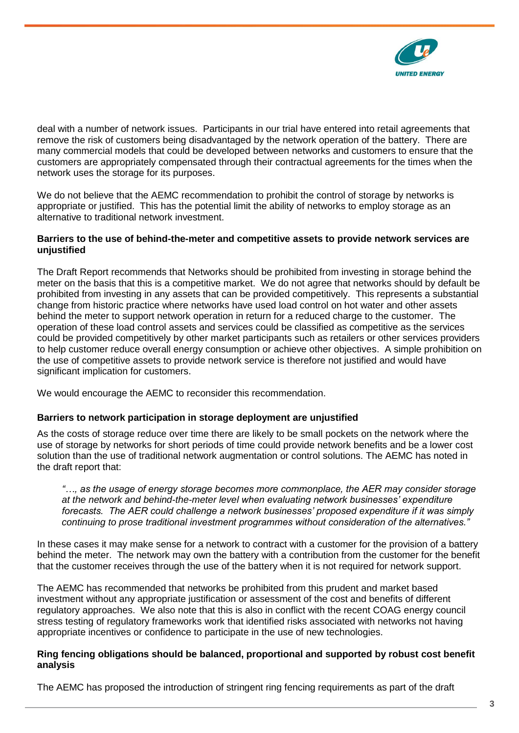

deal with a number of network issues. Participants in our trial have entered into retail agreements that remove the risk of customers being disadvantaged by the network operation of the battery. There are many commercial models that could be developed between networks and customers to ensure that the customers are appropriately compensated through their contractual agreements for the times when the network uses the storage for its purposes.

We do not believe that the AEMC recommendation to prohibit the control of storage by networks is appropriate or justified. This has the potential limit the ability of networks to employ storage as an alternative to traditional network investment.

## **Barriers to the use of behind-the-meter and competitive assets to provide network services are unjustified**

The Draft Report recommends that Networks should be prohibited from investing in storage behind the meter on the basis that this is a competitive market. We do not agree that networks should by default be prohibited from investing in any assets that can be provided competitively. This represents a substantial change from historic practice where networks have used load control on hot water and other assets behind the meter to support network operation in return for a reduced charge to the customer. The operation of these load control assets and services could be classified as competitive as the services could be provided competitively by other market participants such as retailers or other services providers to help customer reduce overall energy consumption or achieve other objectives. A simple prohibition on the use of competitive assets to provide network service is therefore not justified and would have significant implication for customers.

We would encourage the AEMC to reconsider this recommendation.

## **Barriers to network participation in storage deployment are unjustified**

As the costs of storage reduce over time there are likely to be small pockets on the network where the use of storage by networks for short periods of time could provide network benefits and be a lower cost solution than the use of traditional network augmentation or control solutions. The AEMC has noted in the draft report that:

*"…, as the usage of energy storage becomes more commonplace, the AER may consider storage at the network and behind-the-meter level when evaluating network businesses' expenditure forecasts. The AER could challenge a network businesses' proposed expenditure if it was simply continuing to prose traditional investment programmes without consideration of the alternatives."*

In these cases it may make sense for a network to contract with a customer for the provision of a battery behind the meter. The network may own the battery with a contribution from the customer for the benefit that the customer receives through the use of the battery when it is not required for network support.

The AEMC has recommended that networks be prohibited from this prudent and market based investment without any appropriate justification or assessment of the cost and benefits of different regulatory approaches. We also note that this is also in conflict with the recent COAG energy council stress testing of regulatory frameworks work that identified risks associated with networks not having appropriate incentives or confidence to participate in the use of new technologies.

### **Ring fencing obligations should be balanced, proportional and supported by robust cost benefit analysis**

The AEMC has proposed the introduction of stringent ring fencing requirements as part of the draft